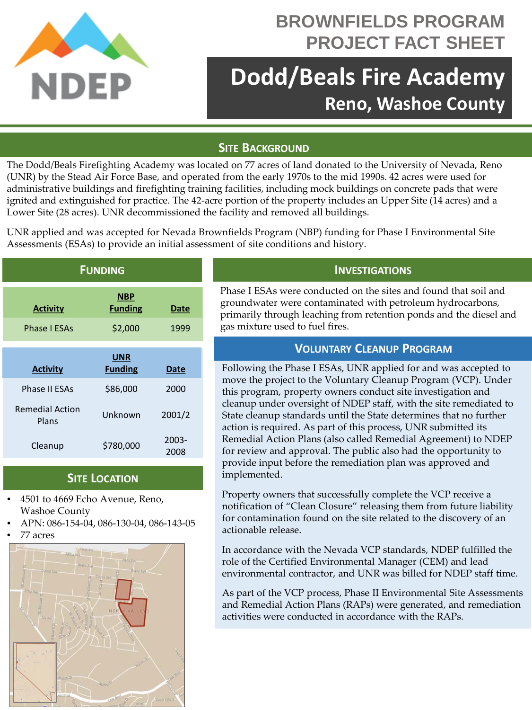

## **BROWNFIELDS PROGRAM PROJECT FACT SHEET**

# **Dodd/Beals Fire Academy Reno, Washoe County**

## **SITE BACKGROUND**

The Dodd/Beals Firefighting Academy was located on 77 acres of land donated to the University of Nevada, Reno (UNR) by the Stead Air Force Base, and operated from the early 1970s to the mid 1990s. 42 acres were used for administrative buildings and firefighting training facilities, including mock buildings on concrete pads that were ignited and extinguished for practice. The 42-acre portion of the property includes an Upper Site (14 acres) and a Lower Site (28 acres). UNR decommissioned the facility and removed all buildings.

UNR applied and was accepted for Nevada Brownfields Program (NBP) funding for Phase I Environmental Site Assessments (ESAs) to provide an initial assessment of site conditions and history.

| <b>FUNDING</b>                  |                              |               |
|---------------------------------|------------------------------|---------------|
| <b>Activity</b>                 | <b>NBP</b><br><b>Funding</b> | Date          |
| <b>Phase I ESAs</b>             | \$2,000                      | 1999          |
|                                 | <b>UNR</b>                   |               |
| <b>Activity</b>                 | <b>Funding</b>               | Date          |
| Phase II FSAs                   | \$86,000                     | 2000          |
| <b>Remedial Action</b><br>Plans | Unknown                      | 2001/2        |
| Cleanup                         | \$780,000                    | 2003-<br>2008 |

### **SITE LOCATION**

- 4501 to 4669 Echo Avenue, Reno, Washoe County
- APN: 086-154-04, 086-130-04, 086-143-05
- 77 acres



## **INVESTIGATIONS**

Phase I ESAs were conducted on the sites and found that soil and groundwater were contaminated with petroleum hydrocarbons, primarily through leaching from retention ponds and the diesel and gas mixture used to fuel fires.

## **VOLUNTARY CLEANUP PROGRAM**

Following the Phase I ESAs, UNR applied for and was accepted to move the project to the Voluntary Cleanup Program (VCP). Under this program, property owners conduct site investigation and cleanup under oversight of NDEP staff, with the site remediated to State cleanup standards until the State determines that no further action is required. As part of this process, UNR submitted its Remedial Action Plans (also called Remedial Agreement) to NDEP for review and approval. The public also had the opportunity to provide input before the remediation plan was approved and implemented.

Property owners that successfully complete the VCP receive a notification of "Clean Closure" releasing them from future liability for contamination found on the site related to the discovery of an actionable release.

In accordance with the Nevada VCP standards, NDEP fulfilled the role of the Certified Environmental Manager (CEM) and lead environmental contractor, and UNR was billed for NDEP staff time.

As part of the VCP process, Phase II Environmental Site Assessments and Remedial Action Plans (RAPs) were generated, and remediation activities were conducted in accordance with the RAPs.